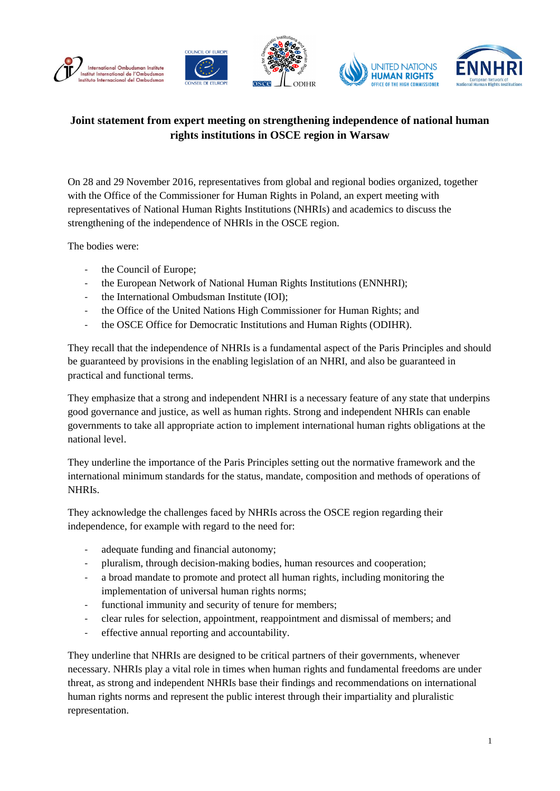

## **Joint statement from expert meeting on strengthening independence of national human rights institutions in OSCE region in Warsaw**

On 28 and 29 November 2016, representatives from global and regional bodies organized, together with the Office of the Commissioner for Human Rights in Poland, an expert meeting with representatives of National Human Rights Institutions (NHRIs) and academics to discuss the strengthening of the independence of NHRIs in the OSCE region.

The bodies were:

- the Council of Europe;
- the European Network of National Human Rights Institutions (ENNHRI);
- the International Ombudsman Institute (IOI);
- the Office of the United Nations High Commissioner for Human Rights; and
- the OSCE Office for Democratic Institutions and Human Rights (ODIHR).

They recall that the independence of NHRIs is a fundamental aspect of the Paris Principles and should be guaranteed by provisions in the enabling legislation of an NHRI, and also be guaranteed in practical and functional terms.

They emphasize that a strong and independent NHRI is a necessary feature of any state that underpins good governance and justice, as well as human rights. Strong and independent NHRIs can enable governments to take all appropriate action to implement international human rights obligations at the national level.

They underline the importance of the Paris Principles setting out the normative framework and the international minimum standards for the status, mandate, composition and methods of operations of NHRIs.

They acknowledge the challenges faced by NHRIs across the OSCE region regarding their independence, for example with regard to the need for:

- adequate funding and financial autonomy;
- pluralism, through decision-making bodies, human resources and cooperation;
- a broad mandate to promote and protect all human rights, including monitoring the implementation of universal human rights norms;
- functional immunity and security of tenure for members;
- clear rules for selection, appointment, reappointment and dismissal of members; and
- effective annual reporting and accountability.

They underline that NHRIs are designed to be critical partners of their governments, whenever necessary. NHRIs play a vital role in times when human rights and fundamental freedoms are under threat, as strong and independent NHRIs base their findings and recommendations on international human rights norms and represent the public interest through their impartiality and pluralistic representation.